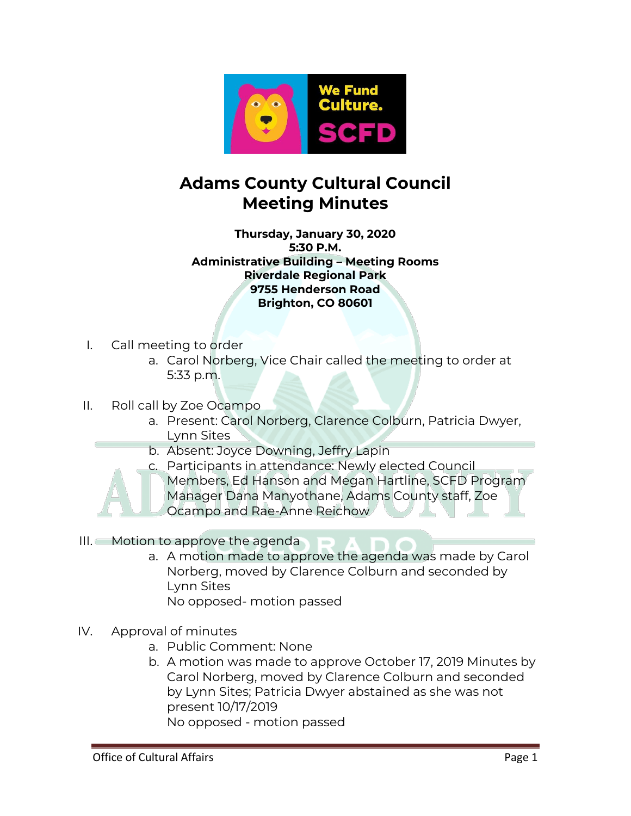

## **Adams County Cultural Council Meeting Minutes**

**Thursday, January 30, 2020 5:30 P.M. Administrative Building – Meeting Rooms Riverdale Regional Park 9755 Henderson Road Brighton, CO 80601**

- I. Call meeting to order
	- a. Carol Norberg, Vice Chair called the meeting to order at 5:33 p.m.
- II. Roll call by Zoe Ocampo
	- a. Present: Carol Norberg, Clarence Colburn, Patricia Dwyer, Lynn Sites
	- b. Absent: Joyce Downing, Jeffry Lapin
	- c. Participants in attendance: Newly elected Council Members, Ed Hanson and Megan Hartline, SCFD Program Manager Dana Manyothane, Adams County staff, Zoe Ocampo and Rae-Anne Reichow
- III. Motion to approve the agenda
	- a. A motion made to approve the agenda was made by Carol Norberg, moved by Clarence Colburn and seconded by Lynn Sites
		- No opposed- motion passed
- IV. Approval of minutes
	- a. Public Comment: None
	- b. A motion was made to approve October 17, 2019 Minutes by Carol Norberg, moved by Clarence Colburn and seconded by Lynn Sites; Patricia Dwyer abstained as she was not present 10/17/2019 No opposed - motion passed